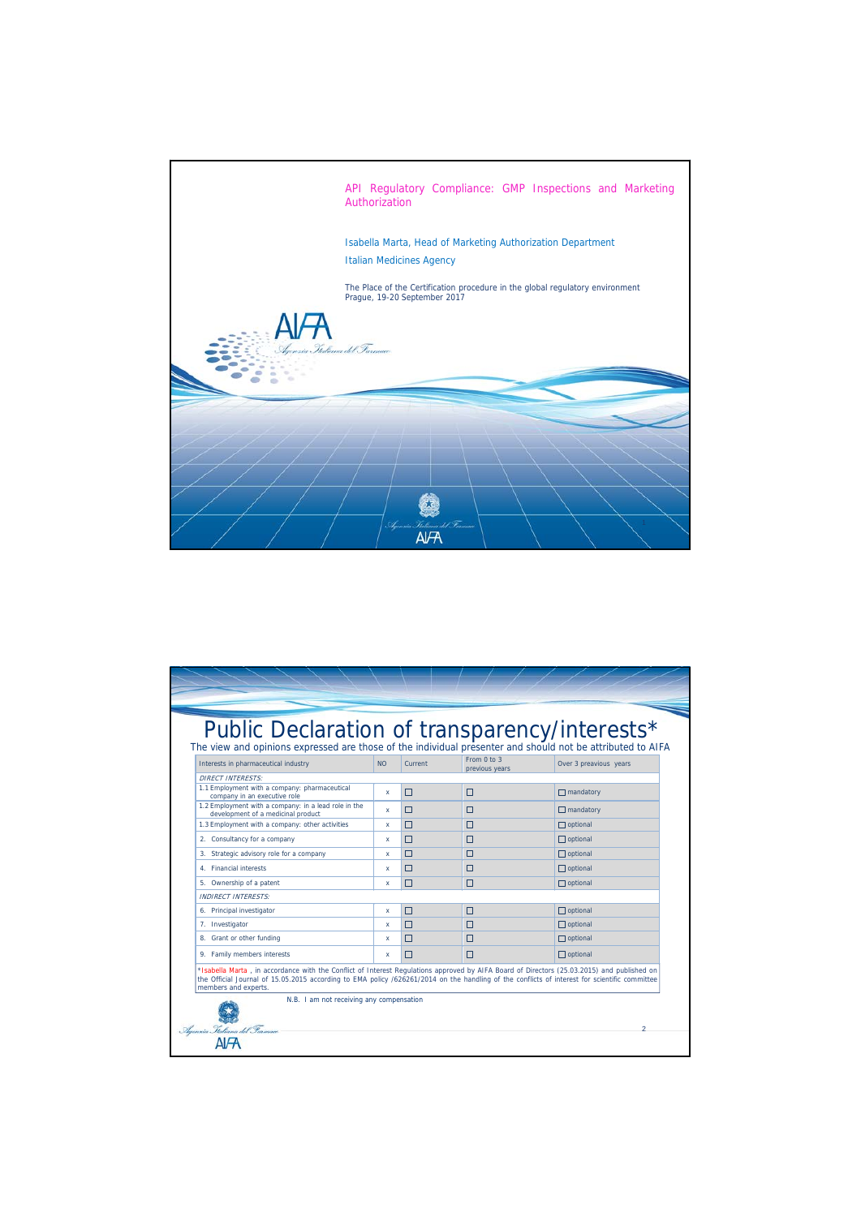

| Interests in pharmaceutical industry                                                                                                                                                                                                                                                                                | <b>NO</b> | Current                                  | From $0$ to $3$<br>previous vears | Over 3 preavious years |
|---------------------------------------------------------------------------------------------------------------------------------------------------------------------------------------------------------------------------------------------------------------------------------------------------------------------|-----------|------------------------------------------|-----------------------------------|------------------------|
| <b>DIRECT INTERESTS:</b>                                                                                                                                                                                                                                                                                            |           |                                          |                                   |                        |
| 1.1 Employment with a company: pharmaceutical<br>company in an executive role                                                                                                                                                                                                                                       | x         | П                                        | $\Box$                            | $\Box$ mandatory       |
| 1.2 Employment with a company: in a lead role in the<br>development of a medicinal product                                                                                                                                                                                                                          | x         | П                                        | $\Box$                            | $\Box$ mandatory       |
| 1.3 Employment with a company: other activities                                                                                                                                                                                                                                                                     | x         | □                                        | П                                 | $\Box$ optional        |
| 2. Consultancy for a company                                                                                                                                                                                                                                                                                        | x         | $\Box$                                   | □                                 | $\Box$ optional        |
| 3. Strategic advisory role for a company                                                                                                                                                                                                                                                                            | x         | П                                        | П                                 | $\Box$ optional        |
| 4. Financial interests                                                                                                                                                                                                                                                                                              | x         | П                                        | П                                 | $\Box$ optional        |
| 5. Ownership of a patent                                                                                                                                                                                                                                                                                            | x         | П                                        | $\Box$                            | $\Box$ optional        |
| <b>INDIRECT INTERESTS:</b>                                                                                                                                                                                                                                                                                          |           |                                          |                                   |                        |
| 6. Principal investigator                                                                                                                                                                                                                                                                                           | x         | □                                        | $\Box$                            | $\Box$ optional        |
| 7. Investigator                                                                                                                                                                                                                                                                                                     | x         | $\Box$                                   | $\Box$                            | $\Box$ optional        |
| 8. Grant or other funding                                                                                                                                                                                                                                                                                           | x         | □                                        | $\Box$                            | $\Box$ optional        |
| 9. Family members interests                                                                                                                                                                                                                                                                                         | x         | п                                        | п                                 | $\Box$ optional        |
| *Isabella Marta, in accordance with the Conflict of Interest Regulations approved by AIFA Board of Directors (25.03.2015) and published on<br>the Official Journal of 15.05.2015 according to EMA policy /626261/2014 on the handling of the conflicts of interest for scientific committee<br>members and experts. |           | N.B. I am not receiving any compensation |                                   |                        |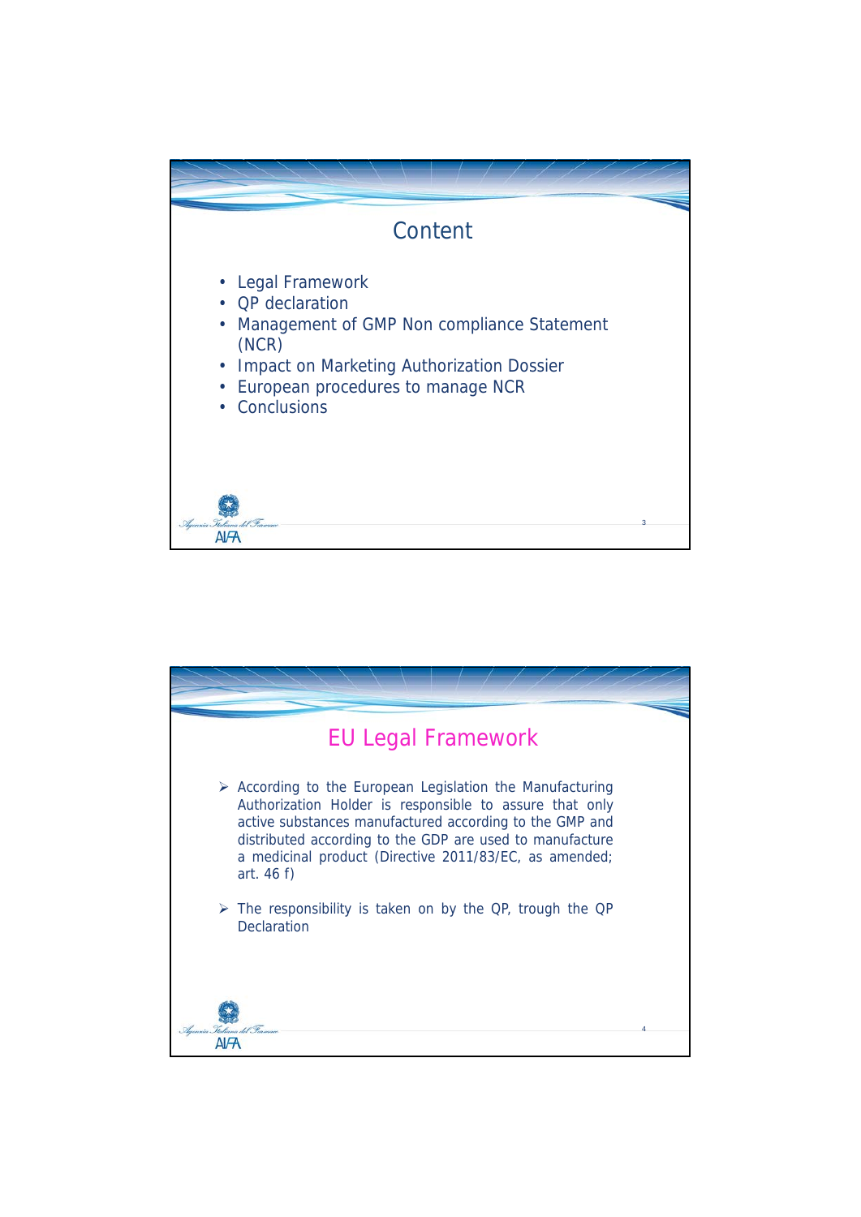

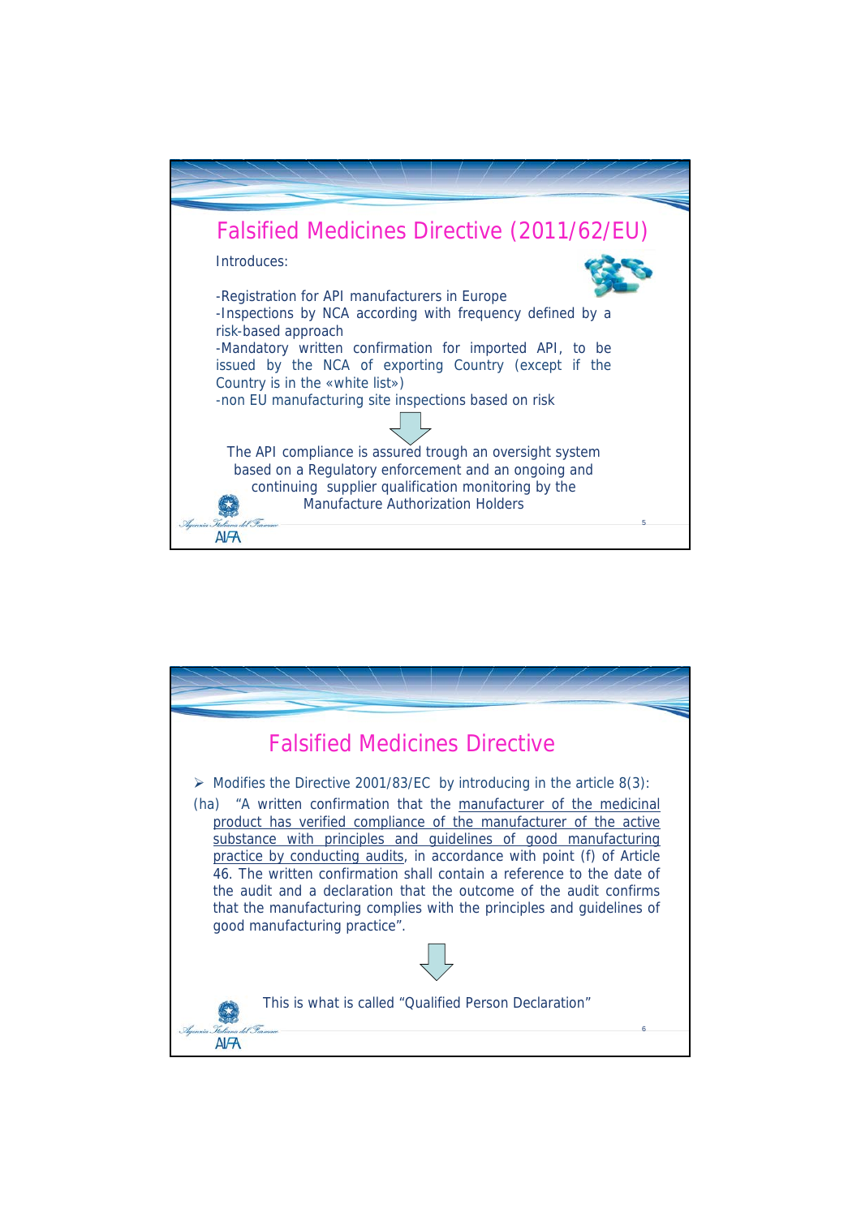

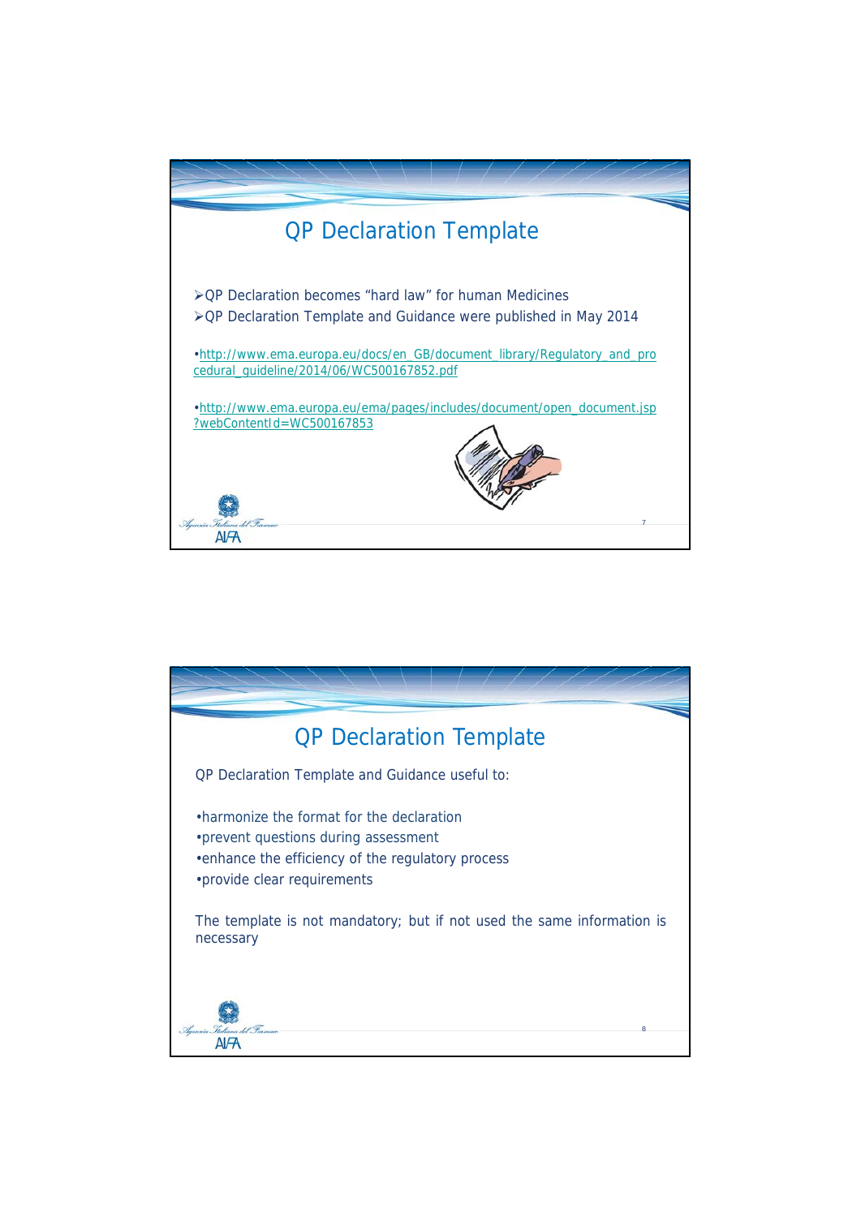

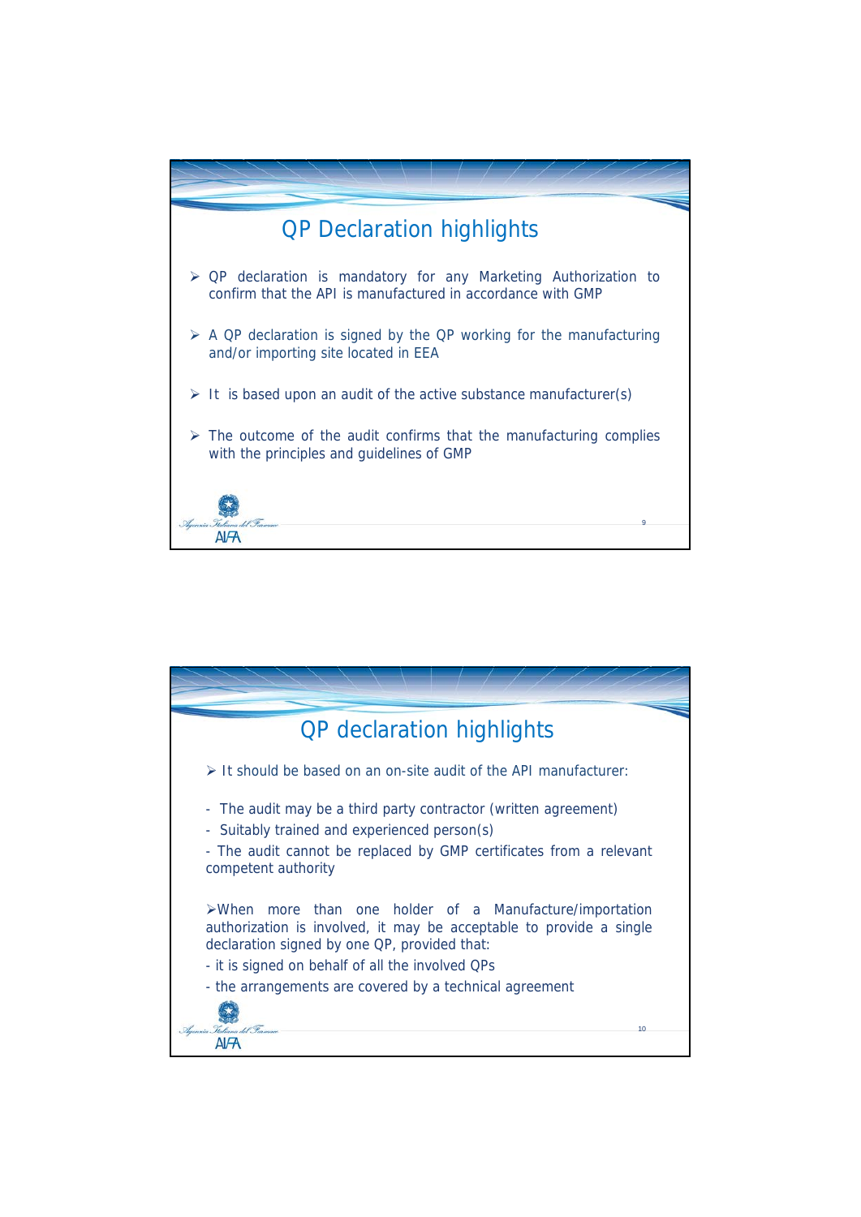

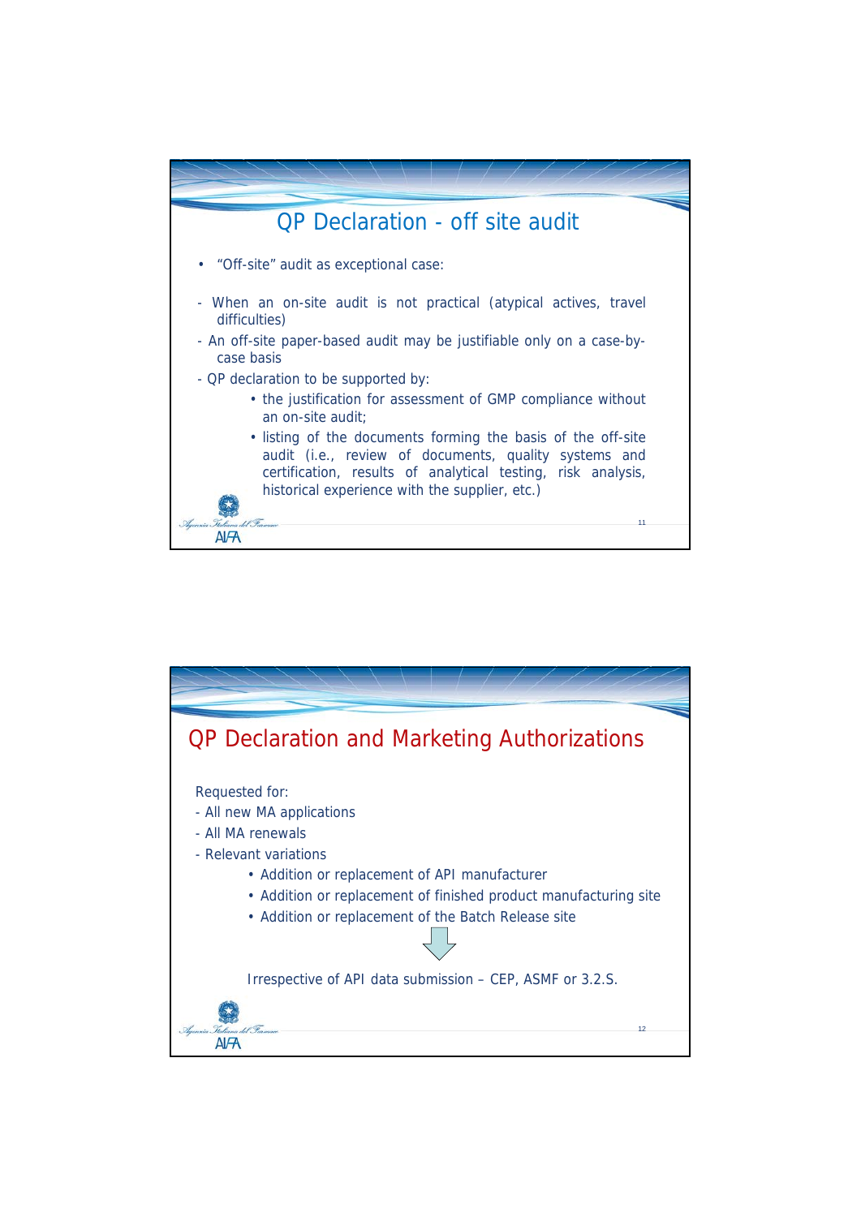

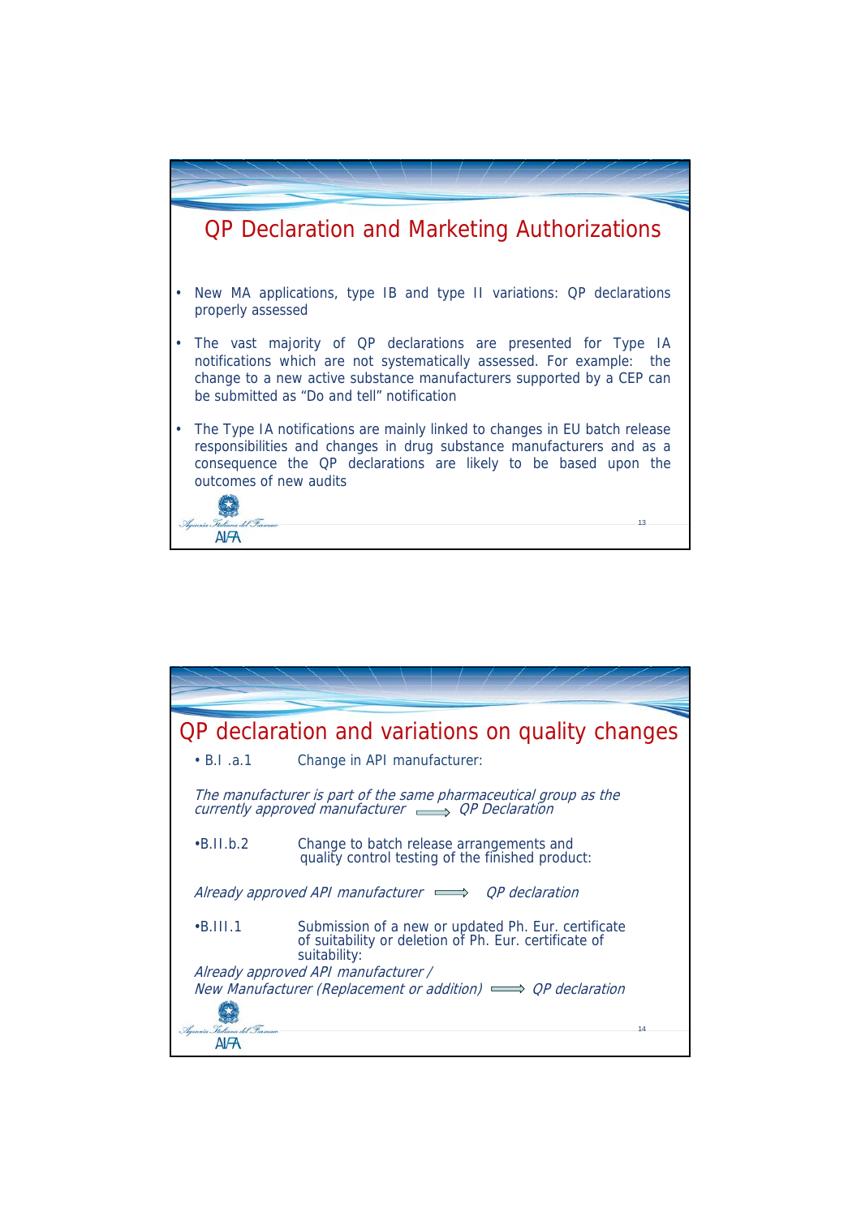

|                               | OP declaration and variations on quality changes                                                                              |
|-------------------------------|-------------------------------------------------------------------------------------------------------------------------------|
| $\cdot$ B.I.a.1               | Change in API manufacturer:                                                                                                   |
|                               | The manufacturer is part of the same pharmaceutical group as the<br>currently approved manufacturer $\implies$ OP Declaration |
| $-B.II.b.2$                   | Change to batch release arrangements and<br>quality control testing of the finished product:                                  |
|                               | Already approved API manufacturer $\implies$ OP declaration                                                                   |
| $-B.111.1$                    | Submission of a new or updated Ph. Eur. certificate<br>of suitability or deletion of Ph. Eur. certificate of<br>suitability:  |
|                               | Already approved API manufacturer /                                                                                           |
| Ilgenzia Italiana del Parmace | New Manufacturer (Replacement or addition) $\implies$ OP declaration<br>14                                                    |
|                               |                                                                                                                               |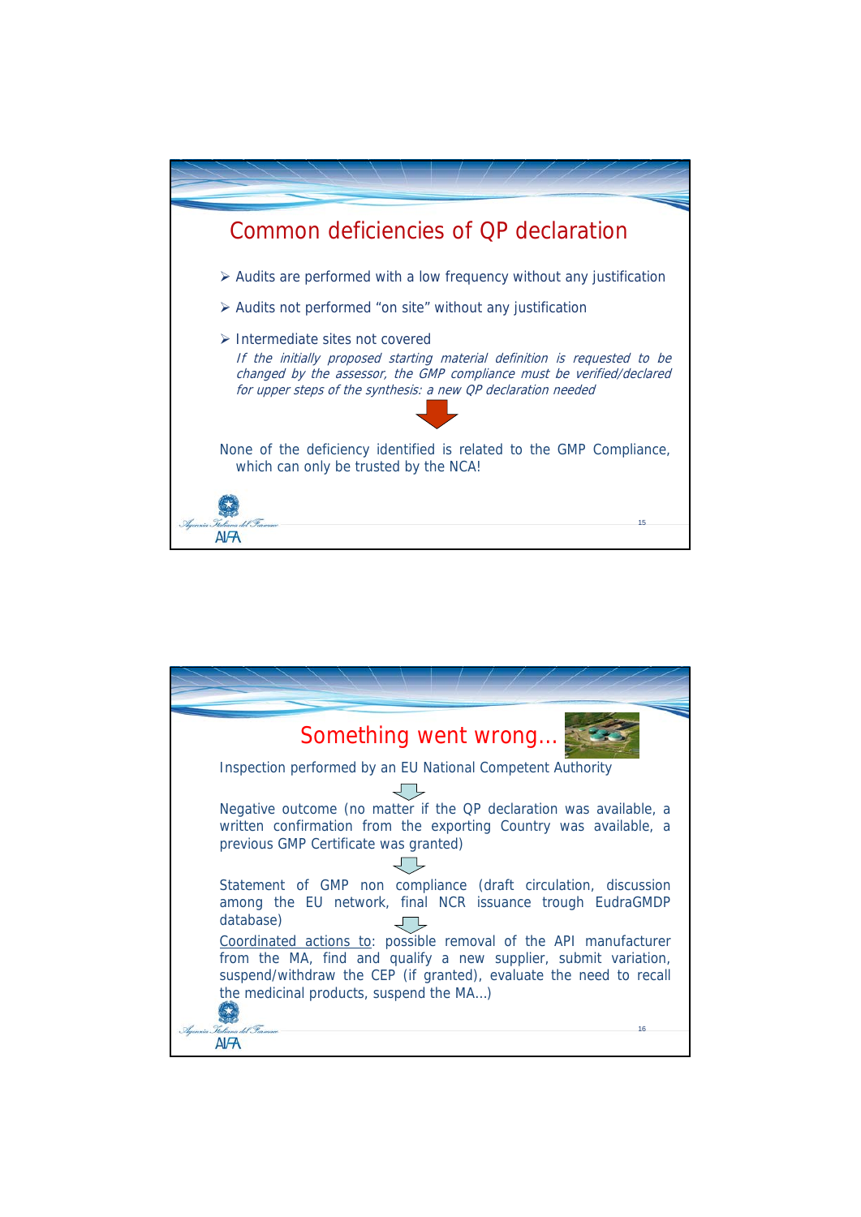

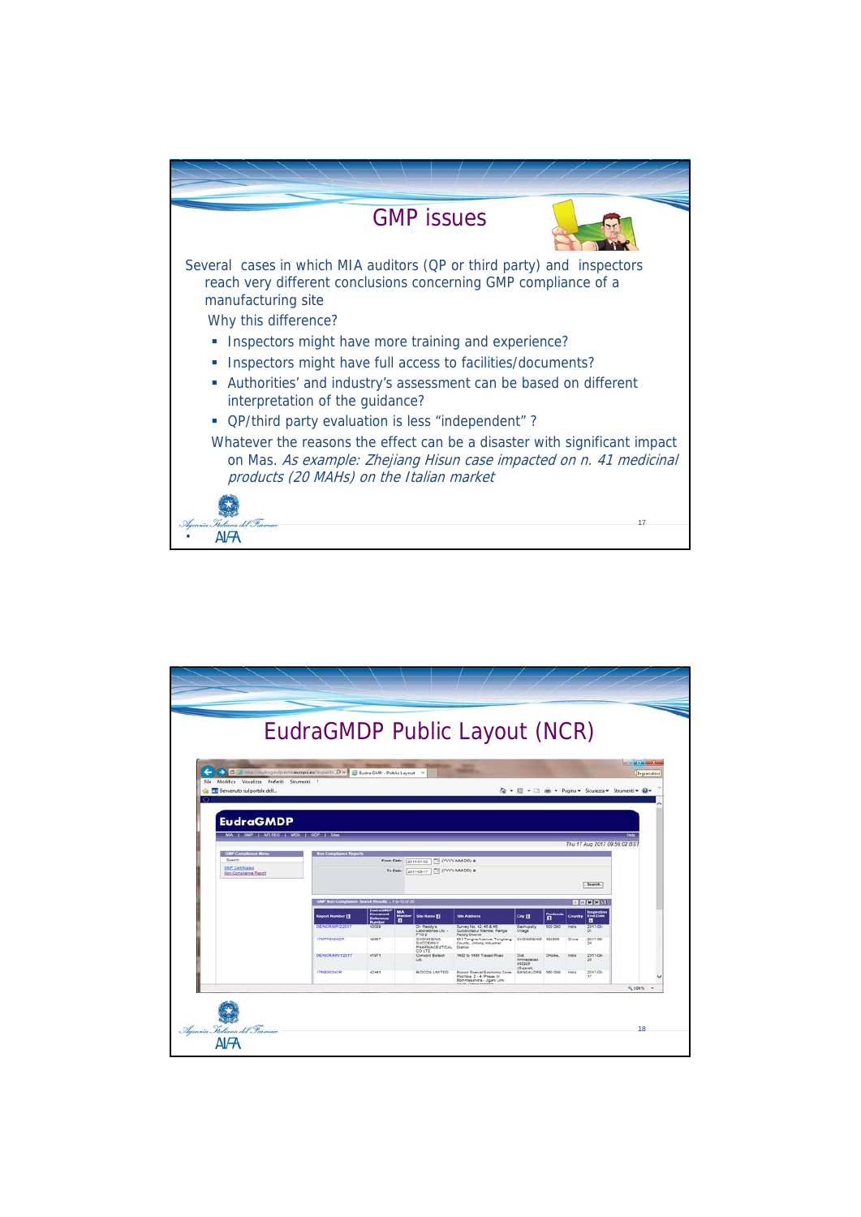

|                                                                                   |                                                                                    |                                                                       |            |                                                                                  | EudraGMDP Public Layout (NCR)                                                            |                                 |                     |              |                              |                                                     |
|-----------------------------------------------------------------------------------|------------------------------------------------------------------------------------|-----------------------------------------------------------------------|------------|----------------------------------------------------------------------------------|------------------------------------------------------------------------------------------|---------------------------------|---------------------|--------------|------------------------------|-----------------------------------------------------|
|                                                                                   |                                                                                    |                                                                       |            |                                                                                  |                                                                                          |                                 |                     |              |                              |                                                     |
|                                                                                   | -> C 29 http://eudragmdp.ems.europa.eu/inspectix P = E Cudea GMP - Public Layout X |                                                                       |            |                                                                                  | <b>STATE</b><br>-                                                                        |                                 |                     |              |                              | <b>ICO ATTA MARINA</b><br>Ingrandisci               |
| Modifica Visualizza Preferiti Strumenti<br>File:<br>W. Benvenuto sul portale dell | - 2                                                                                |                                                                       |            |                                                                                  |                                                                                          |                                 |                     |              |                              | 4 · 图 · □ mi · Pagina · Sicurezza · Strumenti · @ · |
|                                                                                   |                                                                                    |                                                                       |            |                                                                                  |                                                                                          |                                 |                     |              |                              |                                                     |
| <b>EudraGMDP</b>                                                                  |                                                                                    |                                                                       |            |                                                                                  |                                                                                          |                                 |                     |              |                              |                                                     |
| MIA I GMP   APIRED   WDA   GDP   SIMA                                             |                                                                                    |                                                                       |            |                                                                                  |                                                                                          |                                 |                     |              | Thu 17 Aug 2017 09:59:02 BST |                                                     |
| <b>GMP Compliance Men</b><br>Search                                               | <b>Inn Compliance Report</b>                                                       |                                                                       | From Date: | 2010-01-02                                                                       | THE COOK ARM DOL #                                                                       |                                 |                     |              |                              |                                                     |
| <b>OMP Certificates</b><br>Non-Compliance Report                                  |                                                                                    |                                                                       |            | To Date: 2017-05-17 ( CYYY'-MM-DD) #                                             |                                                                                          |                                 |                     |              |                              |                                                     |
|                                                                                   |                                                                                    | Search<br>GMP Non-Compliance Search Results ; 1 to 10 of 25<br>□□■■□□ |            |                                                                                  |                                                                                          |                                 |                     |              |                              |                                                     |
|                                                                                   | <b>Report Number 1</b>                                                             | <b>Mark Ave.</b><br><b>Document</b><br>Reference                      | <b>MAR</b> | She Name <b>El</b>                                                               | <b>Site Address</b>                                                                      | City <sup>1</sup>               | Postcod<br><b>B</b> | Country      | Impection<br><b>End Date</b> |                                                     |
|                                                                                   | DE/NCR/MP/2/2017                                                                   | <b>Number</b><br>43009                                                | п          | Dr. Reddy's<br>Laboratories Ltd. -                                               | Survey No. 42, 45 & 46.<br>Qutubullapur Mandal, Ranga                                    | Bachupally<br>Village           | 500 090             | <b>India</b> | п<br>2017-08-<br>01          |                                                     |
|                                                                                   | <b>ETMPPD40NCR</b>                                                                 | 42087                                                                 |            | FTO <sub>2</sub><br>CHONGOING<br><b><i>SUCCEWAY</i></b><br><b>PHARMACEUTICAL</b> | Reddy District<br>531 Tonghe Avenue, Tongliang<br>County, Jinlang Industrial<br>District | CHONGQING 402555                |                     | China        | 2017-06<br>24                |                                                     |
|                                                                                   | DENCRIAPV1/2017                                                                    | 41071                                                                 |            | COLTD<br>Concord Biotech<br>LM.                                                  | 1482 to 1466 Tresad Road                                                                 | Dist.<br>Ahmedabed<br>362225    | Dhoka.              | <b>India</b> | 2017-04<br>26                |                                                     |
|                                                                                   | 17M8002NCR                                                                         | 42441                                                                 |            | BIOCON LIMITED                                                                   | Bioton Special Economic Zone:<br>Plot Nos. 2 - 4, Phase IV,<br>Bommasandra - Jigani Link | (Oujerat).<br>BANGALORE 500 000 |                     | Inglis       | 2017-03-<br>17               |                                                     |
|                                                                                   |                                                                                    |                                                                       |            |                                                                                  | Base Bay                                                                                 |                                 |                     |              |                              |                                                     |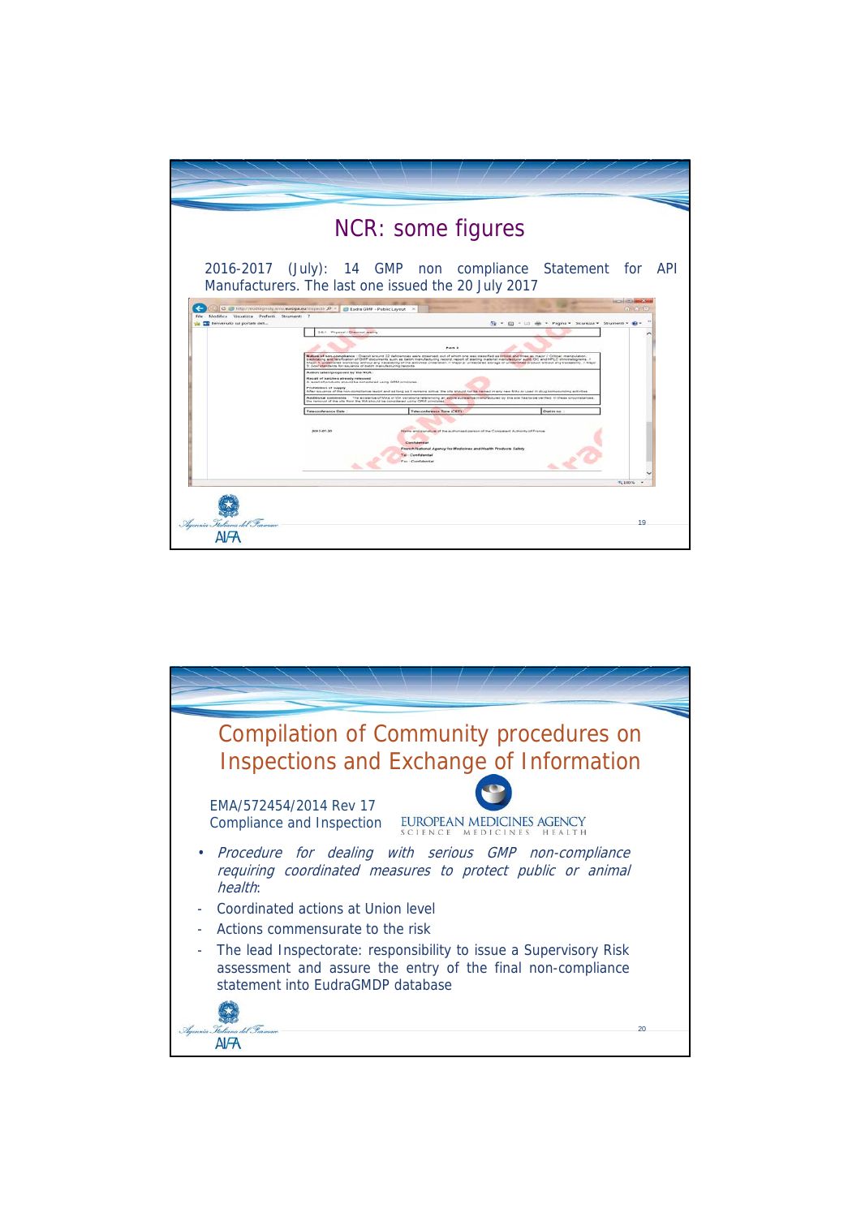

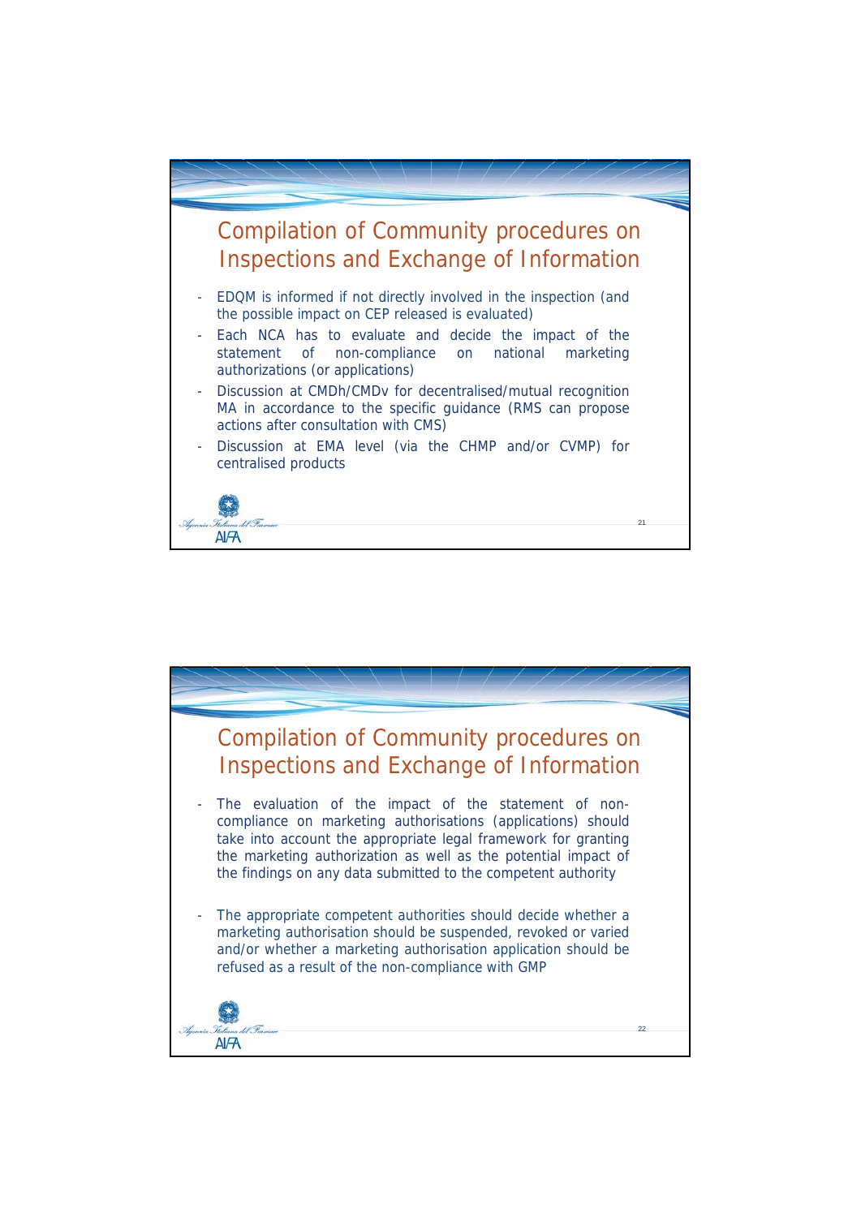

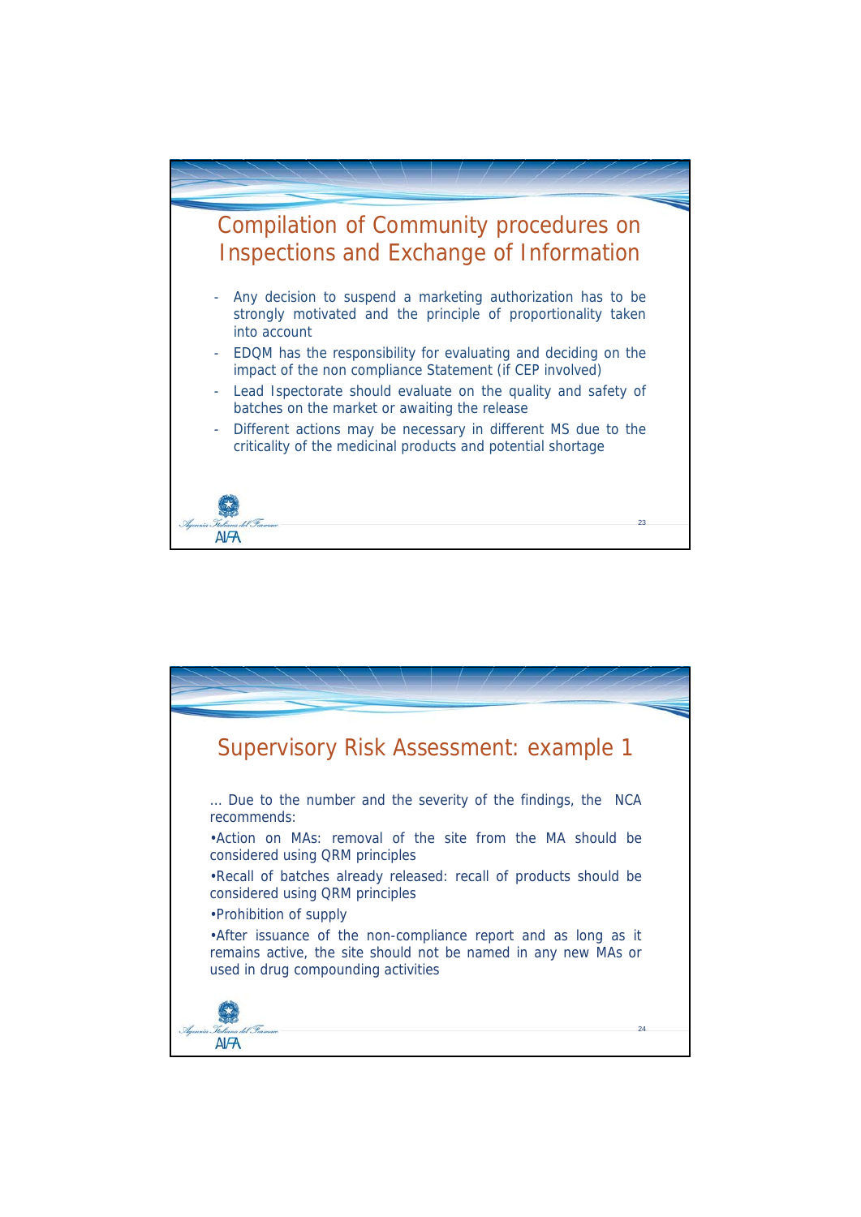

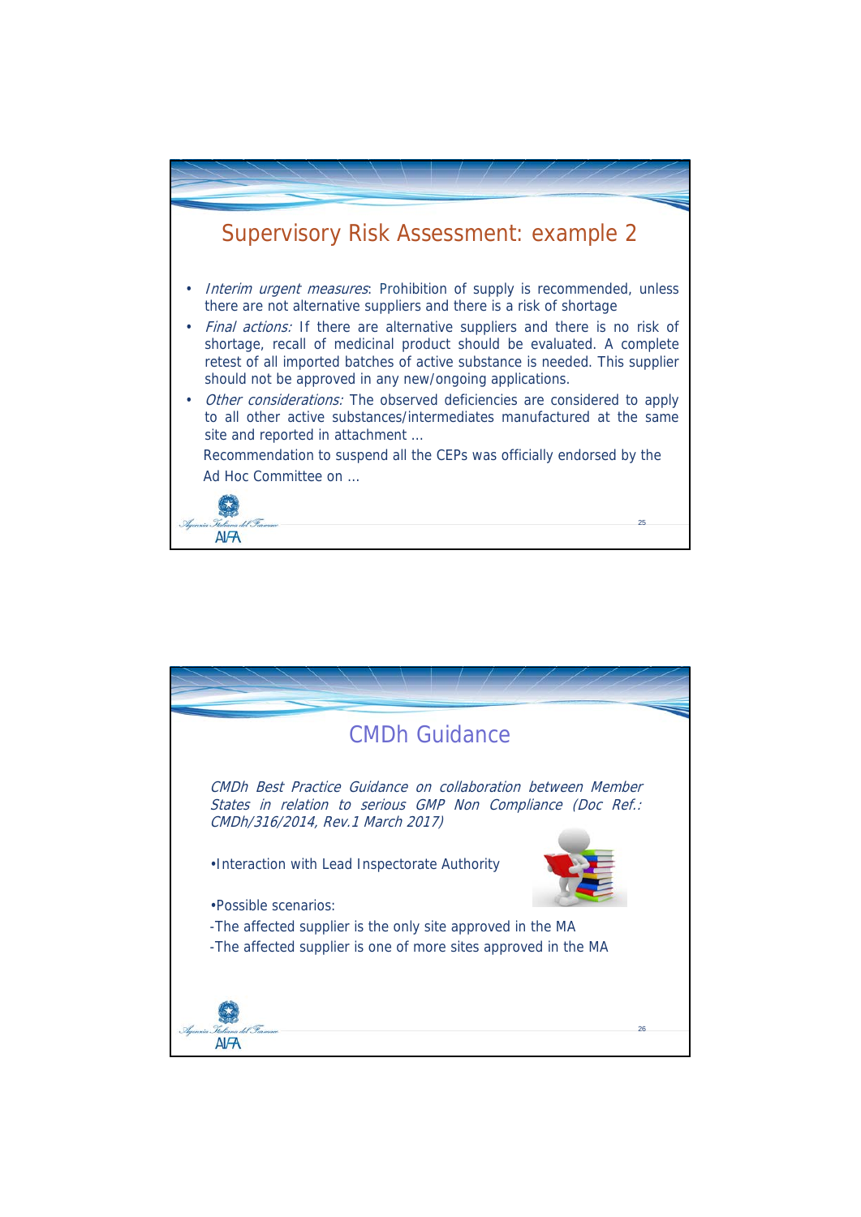

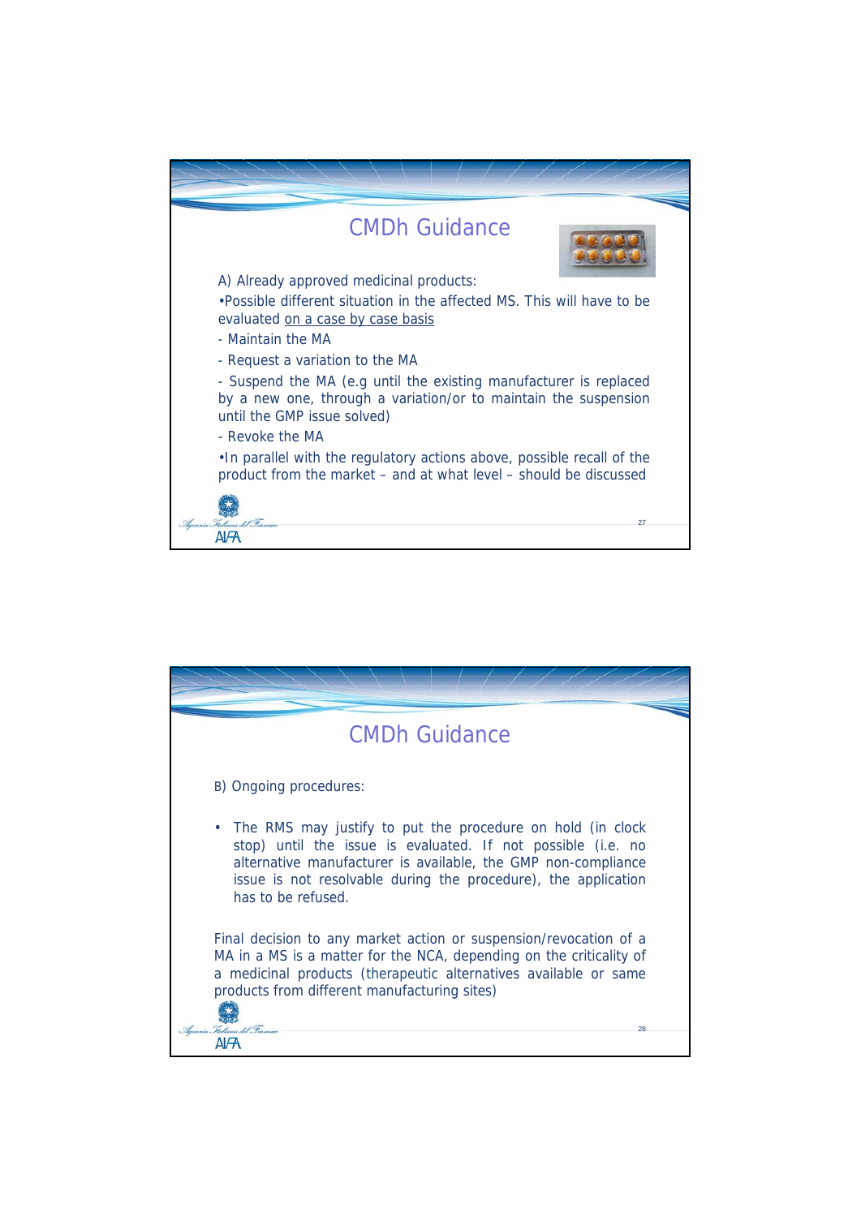

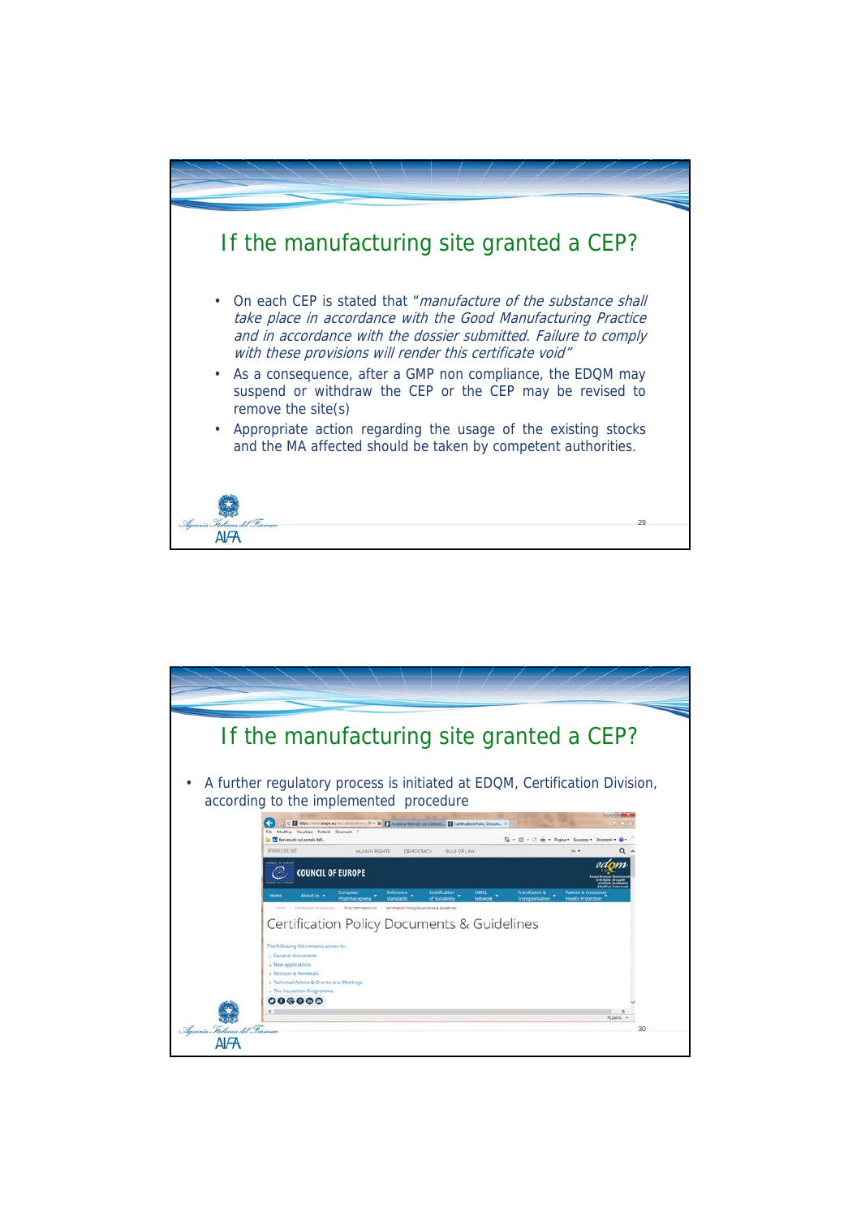

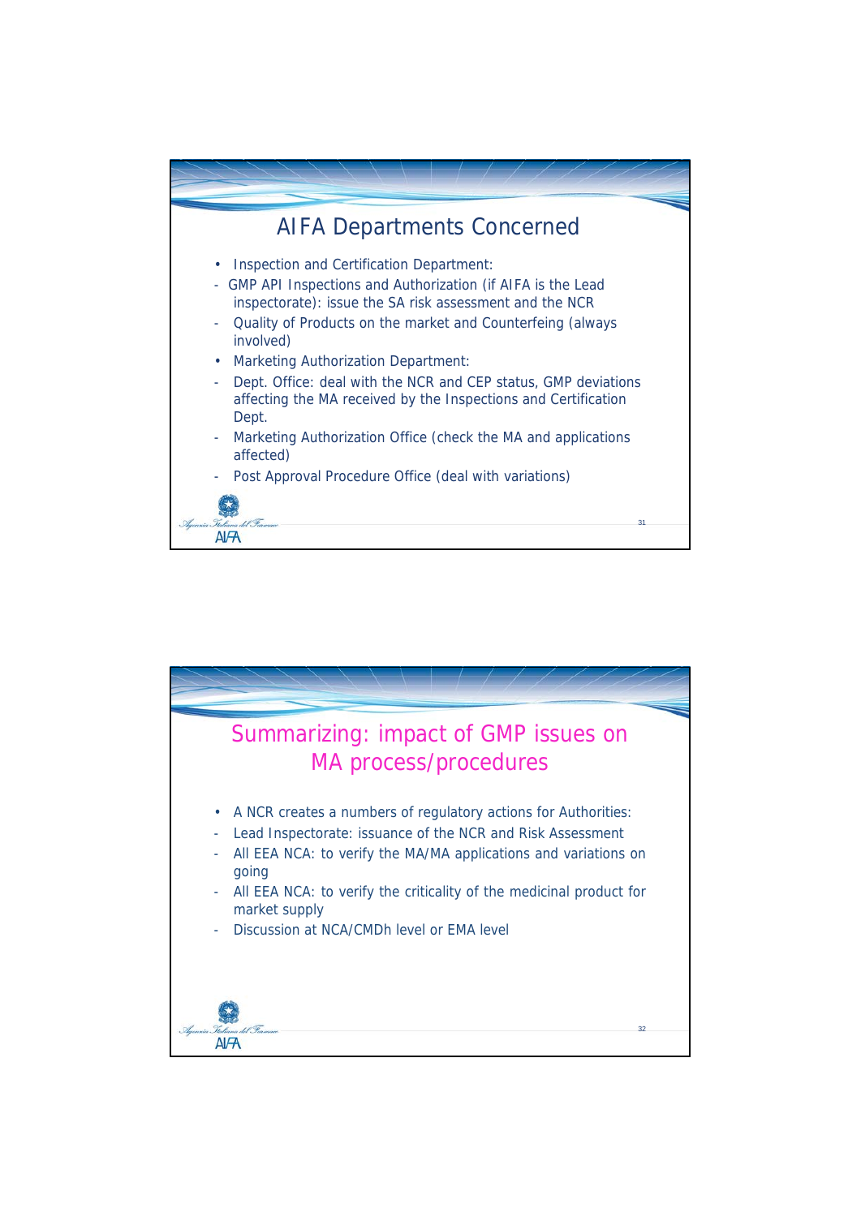

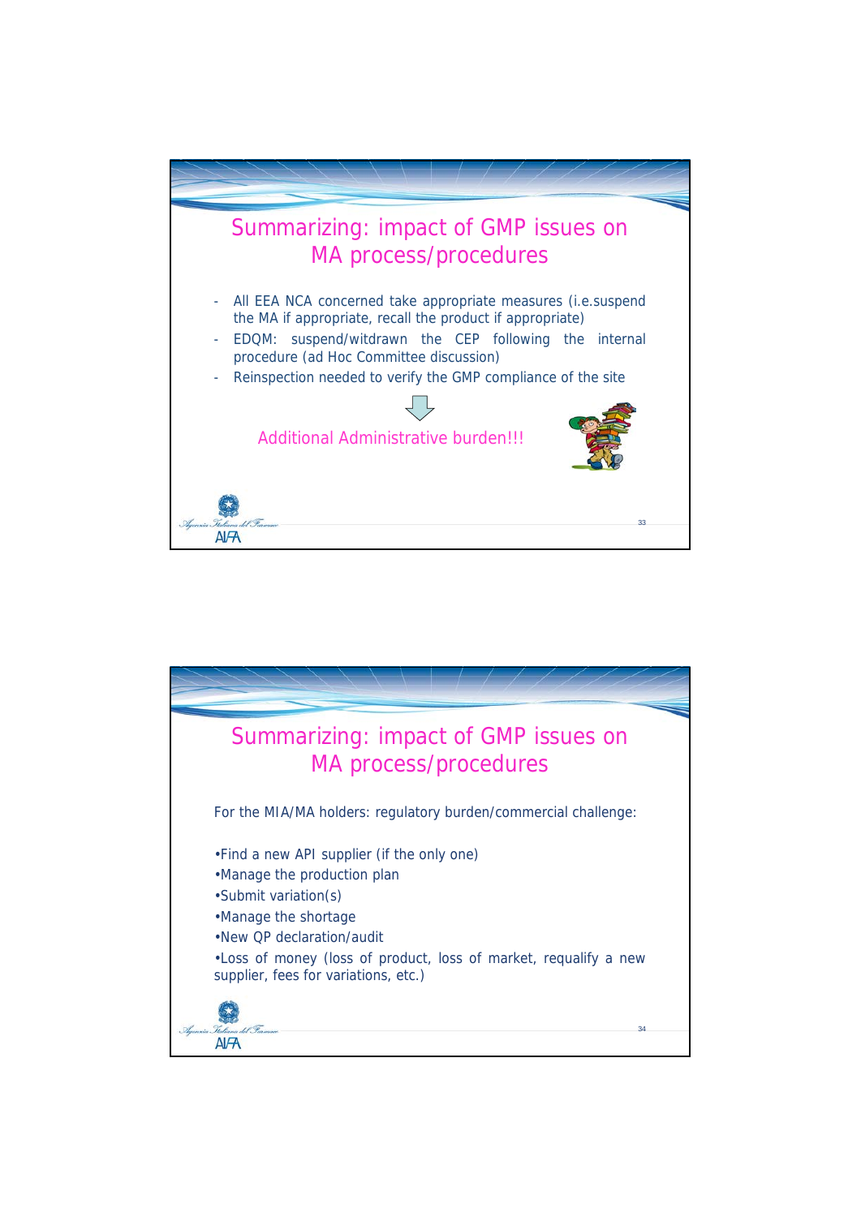

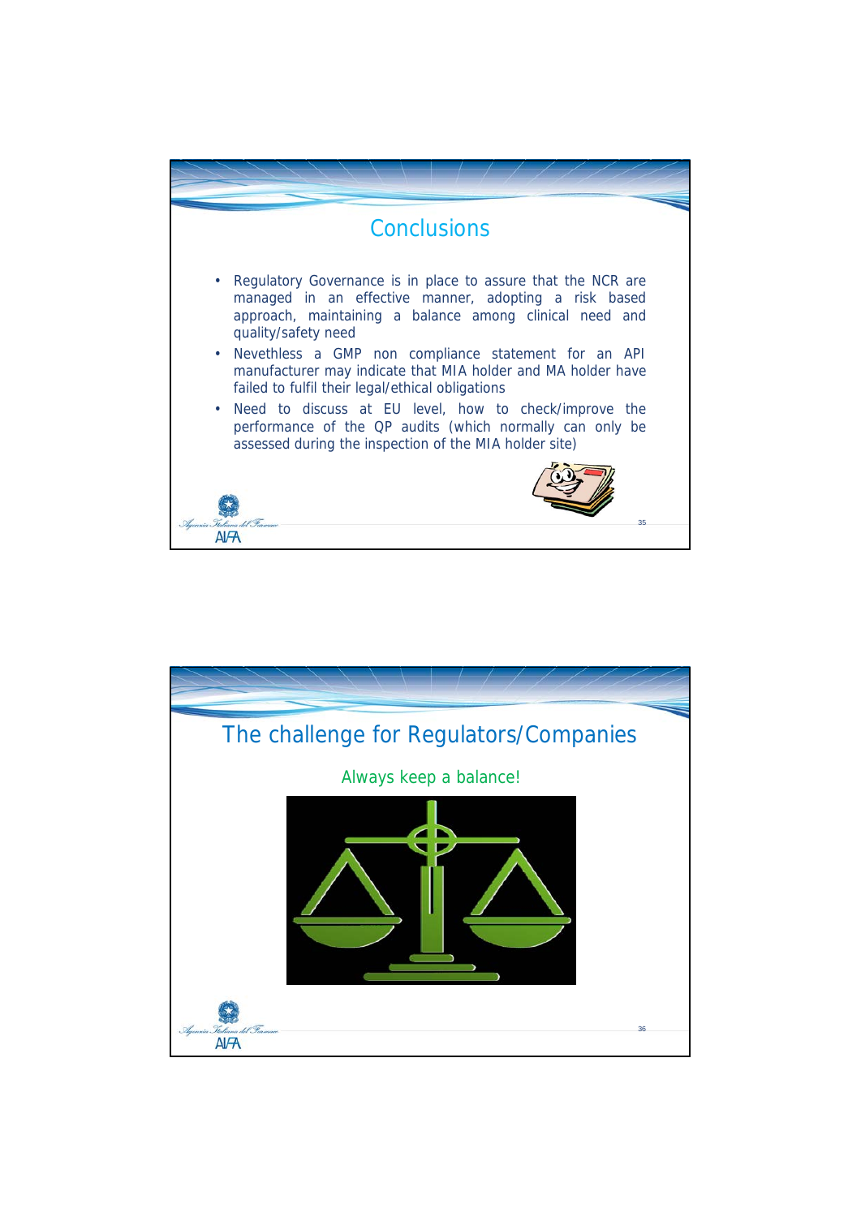